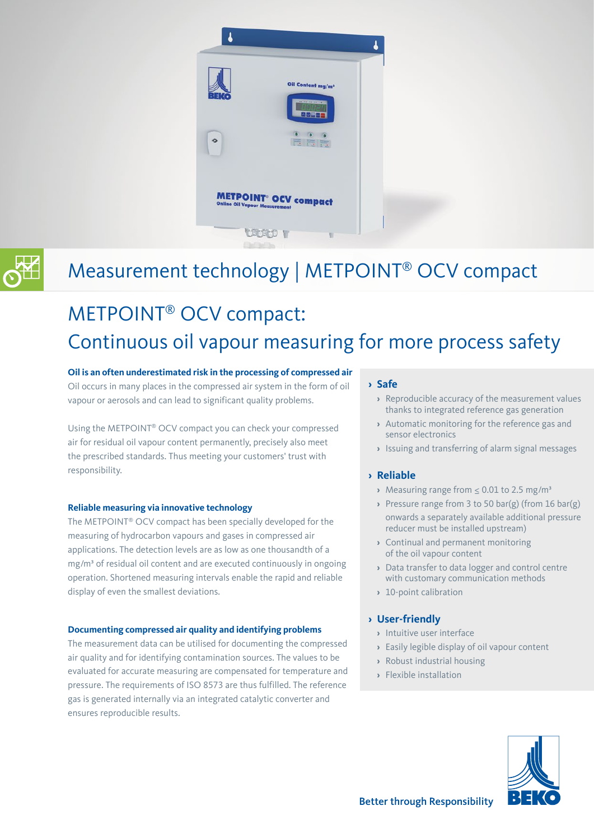



### Measurement technology | METPOINT® OCV compact

## METPOINT® OCV compact: Continuous oil vapour measuring for more process safety

#### **Oil is an often underestimated risk in the processing of compressed air**

Oil occurs in many places in the compressed air system in the form of oil vapour or aerosols and can lead to significant quality problems.

Using the METPOINT® OCV compact you can check your compressed air for residual oil vapour content permanently, precisely also meet the prescribed standards. Thus meeting your customers' trust with responsibility.

#### **Reliable measuring via innovative technology**

The METPOINT® OCV compact has been specially developed for the measuring of hydrocarbon vapours and gases in compressed air applications. The detection levels are as low as one thousandth of a mg/m<sup>3</sup> of residual oil content and are executed continuously in ongoing operation. Shortened measuring intervals enable the rapid and reliable display of even the smallest deviations.

#### **Documenting compressed air quality and identifying problems**

The measurement data can be utilised for documenting the compressed air quality and for identifying contamination sources. The values to be evaluated for accurate measuring are compensated for temperature and pressure. The requirements of ISO 8573 are thus fulfilled. The reference gas is generated internally via an integrated catalytic converter and ensures reproducible results.

#### **› Safe**

- **›** Reproducible accuracy of the measurement values thanks to integrated reference gas generation
- **›** Automatic monitoring for the reference gas and sensor electronics
- **›** Issuing and transferring of alarm signal messages

#### **› Reliable**

- **›** Measuring range from ≤ 0.01 to 2.5 mg/m³
- **›** Pressure range from 3 to 50 bar(g) (from 16 bar(g) onwards a separately available additional pressure reducer must be installed upstream)
- **›** Continual and permanent monitoring of the oil vapour content
- **›** Data transfer to data logger and control centre with customary communication methods
- **›** 10-point calibration

#### **› User-friendly**

- **›** Intuitive user interface
- **›** Easily legible display of oil vapour content
- **›** Robust industrial housing
- **›** Flexible installation

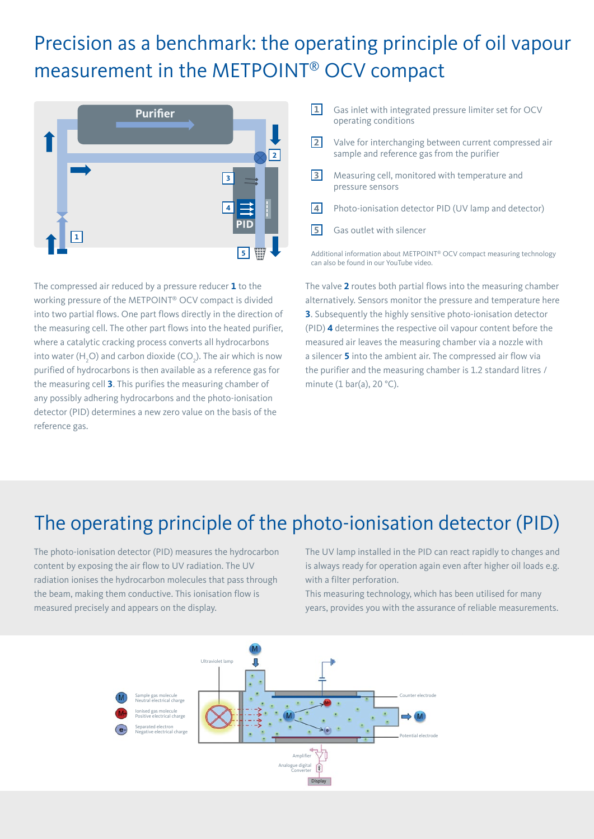### Precision as a benchmark: the operating principle of oil vapour measurement in the METPOINT® OCV compact



The compressed air reduced by a pressure reducer **1** to the working pressure of the METPOINT® OCV compact is divided into two partial flows. One part flows directly in the direction of the measuring cell. The other part flows into the heated purifier, where a catalytic cracking process converts all hydrocarbons into water (H<sub>2</sub>O) and carbon dioxide (CO<sub>2</sub>). The air which is now purified of hydrocarbons is then available as a reference gas for the measuring cell **3**. This purifies the measuring chamber of any possibly adhering hydrocarbons and the photo-ionisation detector (PID) determines a new zero value on the basis of the reference gas.

- **1** Gas inlet with integrated pressure limiter set for OCV operating conditions
- **2** Valve for interchanging between current compressed air sample and reference gas from the purifier
- **3** Measuring cell, monitored with temperature and pressure sensors
- **4** Photo-ionisation detector PID (UV lamp and detector)
- **5** Gas outlet with silencer

Additional information about METPOINT® OCV compact measuring technology can also be found in our YouTube video.

The valve **2** routes both partial flows into the measuring chamber alternatively. Sensors monitor the pressure and temperature here **3**. Subsequently the highly sensitive photo-ionisation detector (PID) **4** determines the respective oil vapour content before the measured air leaves the measuring chamber via a nozzle with a silencer **5** into the ambient air. The compressed air flow via the purifier and the measuring chamber is 1.2 standard litres / minute (1 bar(a), 20 °C).

### The operating principle of the photo-ionisation detector (PID)

The photo-ionisation detector (PID) measures the hydrocarbon content by exposing the air flow to UV radiation. The UV radiation ionises the hydrocarbon molecules that pass through the beam, making them conductive. This ionisation flow is measured precisely and appears on the display.

The UV lamp installed in the PID can react rapidly to changes and is always ready for operation again even after higher oil loads e.g. with a filter perforation.

This measuring technology, which has been utilised for many years, provides you with the assurance of reliable measurements.

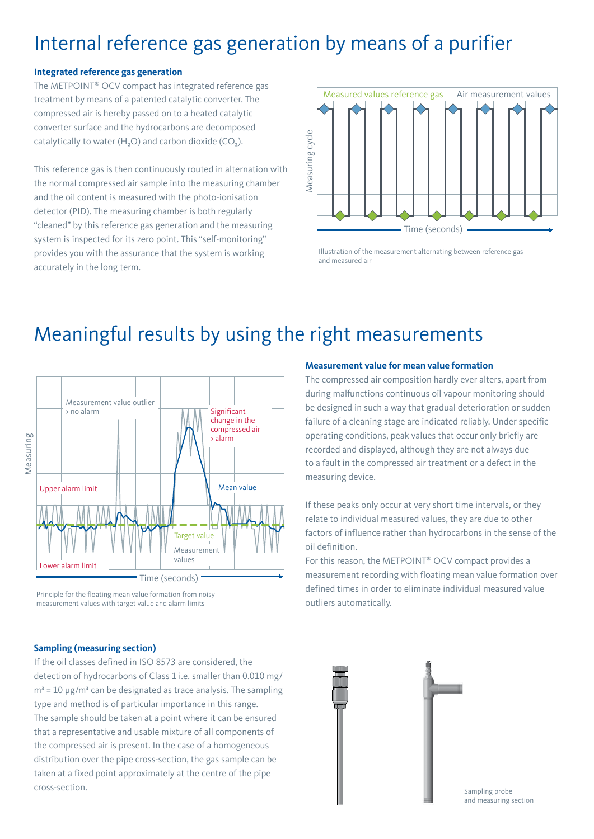### Internal reference gas generation by means of a purifier

#### **Integrated reference gas generation**

The METPOINT® OCV compact has integrated reference gas treatment by means of a patented catalytic converter. The compressed air is hereby passed on to a heated catalytic converter surface and the hydrocarbons are decomposed catalytically to water  $(H_2O)$  and carbon dioxide (CO<sub>2</sub>).

This reference gas is then continuously routed in alternation with the normal compressed air sample into the measuring chamber and the oil content is measured with the photo-ionisation detector (PID). The measuring chamber is both regularly "cleaned" by this reference gas generation and the measuring system is inspected for its zero point. This "self-monitoring" provides you with the assurance that the system is working accurately in the long term.



Illustration of the measurement alternating between reference gas and measured air

### Meaningful results by using the right measurements



Principle for the floating mean value formation from noisy measurement values with target value and alarm limits

#### **Sampling (measuring section)**

If the oil classes defined in ISO 8573 are considered, the detection of hydrocarbons of Class 1 i.e. smaller than 0.010 mg/  $m<sup>3</sup> = 10 \mu g/m<sup>3</sup>$  can be designated as trace analysis. The sampling type and method is of particular importance in this range. The sample should be taken at a point where it can be ensured that a representative and usable mixture of all components of the compressed air is present. In the case of a homogeneous distribution over the pipe cross-section, the gas sample can be taken at a fixed point approximately at the centre of the pipe

#### **Measurement value for mean value formation**

The compressed air composition hardly ever alters, apart from during malfunctions continuous oil vapour monitoring should be designed in such a way that gradual deterioration or sudden failure of a cleaning stage are indicated reliably. Under specific operating conditions, peak values that occur only briefly are recorded and displayed, although they are not always due to a fault in the compressed air treatment or a defect in the measuring device.

If these peaks only occur at very short time intervals, or they relate to individual measured values, they are due to other factors of influence rather than hydrocarbons in the sense of the oil definition.

For this reason, the METPOINT® OCV compact provides a measurement recording with floating mean value formation over defined times in order to eliminate individual measured value outliers automatically.

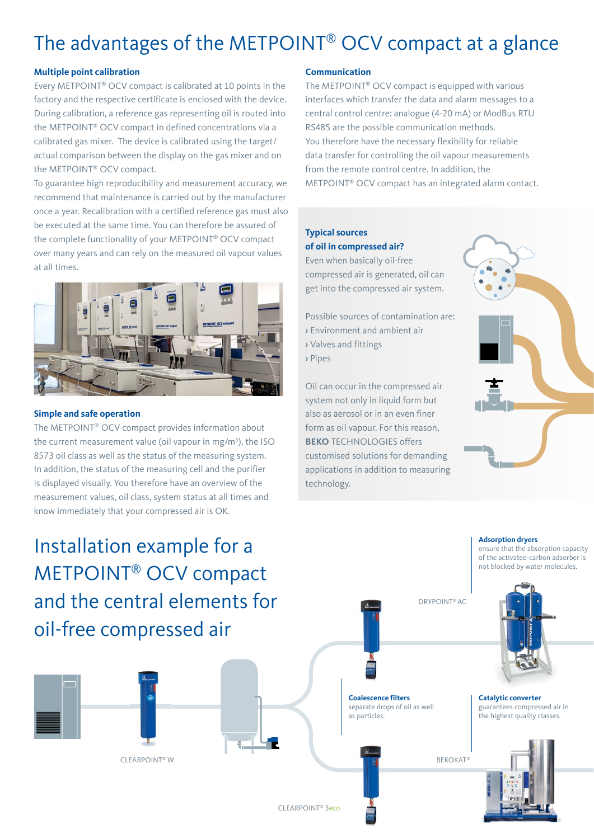# The advantages of the METPOINT® OCV compact at a glance

#### **Multiple point calibration**

Every METPOINT® OCV compact is calibrated at 10 points in the factory and the respective certificate is enclosed with the device. During calibration, a reference gas representing oil is routed into the METPOINT® OCV compact in defined concentrations via a calibrated gas mixer. The device is calibrated using the target/ actual comparison between the display on the gas mixer and on the METPOINT® OCV compact.

To guarantee high reproducibility and measurement accuracy, we recommend that maintenance is carried out by the manufacturer once a year. Recalibration with a certified reference gas must also be executed at the same time. You can therefore be assured of the complete functionality of your METPOINT® OCV compact over many years and can rely on the measured oil vapour values at all times.



#### **Simple and safe operation**

The METPOINT® OCV compact provides information about the current measurement value (oil vapour in mg/m<sup>3</sup>), the ISO 8573 oil class as well as the status of the measuring system. In addition, the status of the measuring cell and the purifier is displayed visually. You therefore have an overview of the measurement values, oil class, system status at all times and know immediately that your compressed air is OK.

#### **Communication**

The METPOINT® OCV compact is equipped with various interfaces which transfer the data and alarm messages to a central control centre: analogue (4-20 mA) or ModBus RTU RS485 are the possible communication methods. You therefore have the necessary flexibility for reliable data transfer for controlling the oil vapour measurements from the remote control centre. In addition, the METPOINT® OCV compact has an integrated alarm contact.

#### **Typical sources of oil in compressed air?**

Even when basically oil-free compressed air is generated, oil can get into the compressed air system.

Possible sources of contamination are:

- › Environment and ambient air
- › Valves and fittings
- › Pipes

Oil can occur in the compressed air system not only in liquid form but also as aerosol or in an even finer form as oil vapour. For this reason, **BEKO** TECHNOLOGIES offers customised solutions for demanding applications in addition to measuring technology.



# Installation example for a METPOINT® OCV compact and the central elements for oil-free compressed air

CLEARPOINT® W

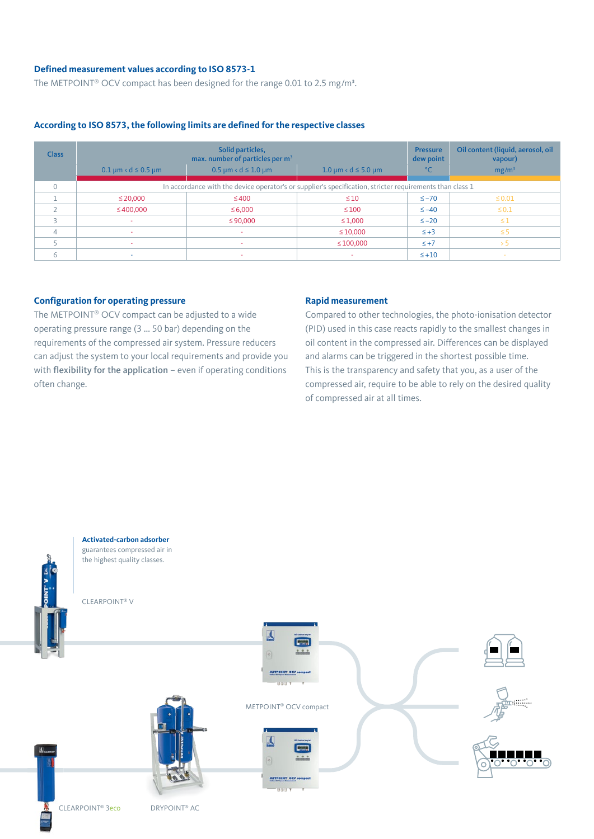#### **Defined measurement values according to ISO 8573-1**

The METPOINT<sup>®</sup> OCV compact has been designed for the range 0.01 to 2.5 mg/m<sup>3</sup>.

#### **According to ISO 8573, the following limits are defined for the respective classes**

| <b>Class</b> | $0.1 \mu m < d \leq 0.5 \mu m$                                                                           | Solid particles,<br>max. number of particles per m <sup>3</sup><br>$0.5 \mu m \cdot d \leq 1.0 \mu m$ | $1.0 \mu m < d \leq 5.0 \mu m$ | <b>Pressure</b><br>dew point<br>$^{\circ}$ C | Oil content (liquid, aerosol, oil<br>vapour)<br>mg/m <sup>3</sup> |
|--------------|----------------------------------------------------------------------------------------------------------|-------------------------------------------------------------------------------------------------------|--------------------------------|----------------------------------------------|-------------------------------------------------------------------|
| $\Omega$     | In accordance with the device operator's or supplier's specification, stricter requirements than class 1 |                                                                                                       |                                |                                              |                                                                   |
|              | $\leq$ 20,000                                                                                            | $\leq 400$                                                                                            | $\leq 10$                      | $\leq -70$                                   | $\leq 0.01$                                                       |
|              | $\leq 400,000$                                                                                           | $\leq 6,000$                                                                                          | $\leq 100$                     | $\leq -40$                                   | $\leq 0.1$                                                        |
|              | $\sim$                                                                                                   | ≤ 90,000                                                                                              | $\leq 1,000$                   | $\leq -20$                                   | $\leq$ 1                                                          |
| Δ            |                                                                                                          | $\sim$                                                                                                | $\leq 10,000$                  | $\leq +3$                                    | $\leq$ 5                                                          |
|              | $\sim$                                                                                                   | $\sim$                                                                                                | $\leq 100,000$                 | $\leq +7$                                    | > 5                                                               |
| 6            | $\sim$                                                                                                   | $\sim$                                                                                                | $\sim$                         | $\leq +10$                                   | $\sim$                                                            |

#### **Configuration for operating pressure**

The METPOINT® OCV compact can be adjusted to a wide operating pressure range (3 ... 50 bar) depending on the requirements of the compressed air system. Pressure reducers can adjust the system to your local requirements and provide you with flexibility for the application - even if operating conditions often change.

#### **Rapid measurement**

Compared to other technologies, the photo-ionisation detector (PID) used in this case reacts rapidly to the smallest changes in oil content in the compressed air. Differences can be displayed and alarms can be triggered in the shortest possible time. This is the transparency and safety that you, as a user of the compressed air, require to be able to rely on the desired quality of compressed air at all times.

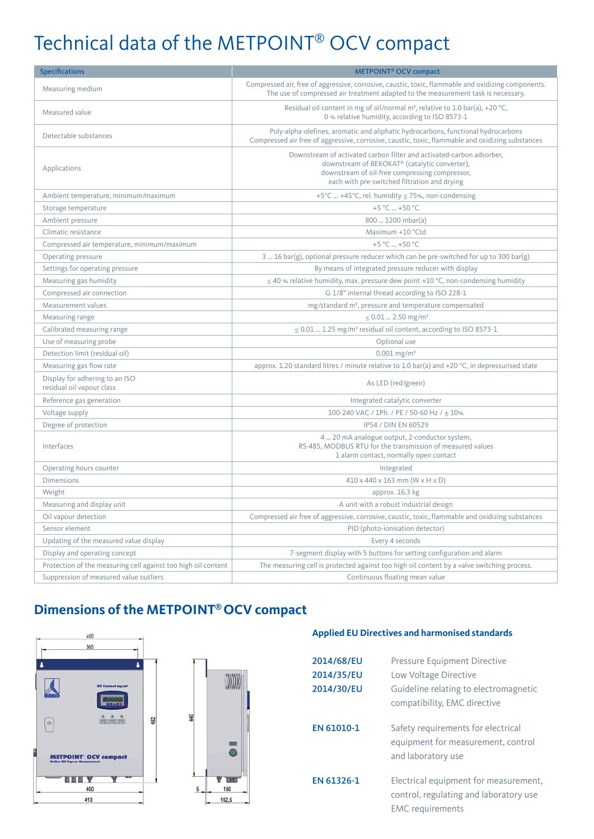# Technical data of the METPOINT® OCV compact

| <b>Specifications</b>                                         | <b>METPOINT<sup>®</sup> OCV compact</b>                                                                                                                                                                                 |  |
|---------------------------------------------------------------|-------------------------------------------------------------------------------------------------------------------------------------------------------------------------------------------------------------------------|--|
| Measuring medium                                              | Compressed air, free of aggressive, corrosive, caustic, toxic, flammable and oxidizing components.<br>The use of compressed air treatment adapted to the measurement task is necessary.                                 |  |
| Measured value                                                | Residual oil content in mg of oil/normal m <sup>3</sup> , relative to 1.0 bar(a), +20 °C,<br>0 % relative humidity, according to ISO 8573-1                                                                             |  |
| Detectable substances                                         | Poly-alpha-olefines, aromatic and aliphatic hydrocarbons, functional hydrocarbons<br>Compressed air free of aggressive, corrosive, caustic, toxic, flammable and oxidizing substances                                   |  |
| Applications                                                  | Downstream of activated carbon filter and activated-carbon adsorber,<br>downstream of BEKOKAT® (catalytic converter),<br>downstream of oil-free compressing compressor,<br>each with pre-switched filtration and drying |  |
| Ambient temperature, minimum/maximum                          | +5°C  +45°C, rel. humidity $\leq$ 75%, non-condensing                                                                                                                                                                   |  |
| Storage temperature                                           | +5 °C  +50 °C                                                                                                                                                                                                           |  |
| Ambient pressure                                              | 800  1200 mbar(a)                                                                                                                                                                                                       |  |
| Climatic resistance                                           | Maximum +10 °Ctd                                                                                                                                                                                                        |  |
| Compressed air temperature, minimum/maximum                   | +5 °C  +50 °C                                                                                                                                                                                                           |  |
| Operating pressure                                            | 3  16 bar(g), optional pressure reducer which can be pre-switched for up to 300 bar(g)                                                                                                                                  |  |
| Settings for operating pressure                               | By means of integrated pressure reducer with display                                                                                                                                                                    |  |
| Measuring gas humidity                                        | $\leq$ 40 % relative humidity, max. pressure dew point +10 °C, non-condensing humidity                                                                                                                                  |  |
| Compressed air connection                                     | G 1/8" internal thread according to ISO 228-1                                                                                                                                                                           |  |
| Measurement values                                            | mg/standard m <sup>3</sup> , pressure and temperature compensated                                                                                                                                                       |  |
| Measuring range                                               | $\leq 0.01$ 2.50 mg/m <sup>3</sup>                                                                                                                                                                                      |  |
| Calibrated measuring range                                    | $\leq$ 0.01  1.25 mg/m <sup>3</sup> residual oil content, according to ISO 8573-1                                                                                                                                       |  |
| Use of measuring probe                                        | Optional use                                                                                                                                                                                                            |  |
| Detection limit (residual oil)                                | $0.001$ mg/m <sup>3</sup>                                                                                                                                                                                               |  |
| Measuring gas flow rate                                       | approx. 1.20 standard litres / minute relative to 1.0 bar(a) and +20 °C, in depressurised state                                                                                                                         |  |
| Display for adhering to an ISO<br>residual oil vapour class   | As LED (red/green)                                                                                                                                                                                                      |  |
| Reference gas generation                                      | Integrated catalytic converter                                                                                                                                                                                          |  |
| Voltage supply                                                | 100-240 VAC / 1Ph. / PE / 50-60 Hz / ± 10%                                                                                                                                                                              |  |
| Degree of protection                                          | IP54 / DIN EN 60529                                                                                                                                                                                                     |  |
| Interfaces                                                    | 4  20 mA analogue output, 2-conductor system,<br>RS-485, MODBUS RTU for the transmission of measured values<br>1 alarm contact, normally open contact                                                                   |  |
| Operating hours counter                                       | Integrated                                                                                                                                                                                                              |  |
| <b>Dimensions</b>                                             | $410 \times 440 \times 163$ mm (W $\times$ H $\times$ D)                                                                                                                                                                |  |
| Weight                                                        | approx. 16.3 kg                                                                                                                                                                                                         |  |
| Measuring and display unit                                    | A unit with a robust industrial design                                                                                                                                                                                  |  |
| Oil vapour detection                                          | Compressed air free of aggressive, corrosive, caustic, toxic, flammable and oxidizing substances                                                                                                                        |  |
| Sensor element                                                | PID (photo-ionisation detector)                                                                                                                                                                                         |  |
| Updating of the measured value display                        | Every 4 seconds                                                                                                                                                                                                         |  |
| Display and operating concept                                 | 7-segment display with 5 buttons for setting configuration and alarm                                                                                                                                                    |  |
| Protection of the measuring cell against too high oil content | The measuring cell is protected against too high oil content by a valve switching process.                                                                                                                              |  |
| Suppression of measured value outliers                        | Continuous floating mean value                                                                                                                                                                                          |  |

### **Dimensions of the METPOINT® OCV compact**





#### **Applied EU Directives and harmonised standards**

| 2014/68/EU | Pressure Equipment Directive                                                                               |
|------------|------------------------------------------------------------------------------------------------------------|
| 2014/35/EU | Low Voltage Directive                                                                                      |
| 2014/30/EU | Guideline relating to electromagnetic<br>compatibility, EMC directive                                      |
| EN 61010-1 | Safety requirements for electrical<br>equipment for measurement, control<br>and laboratory use             |
| EN 61326-1 | Electrical equipment for measurement,<br>control, regulating and laboratory use<br><b>EMC</b> requirements |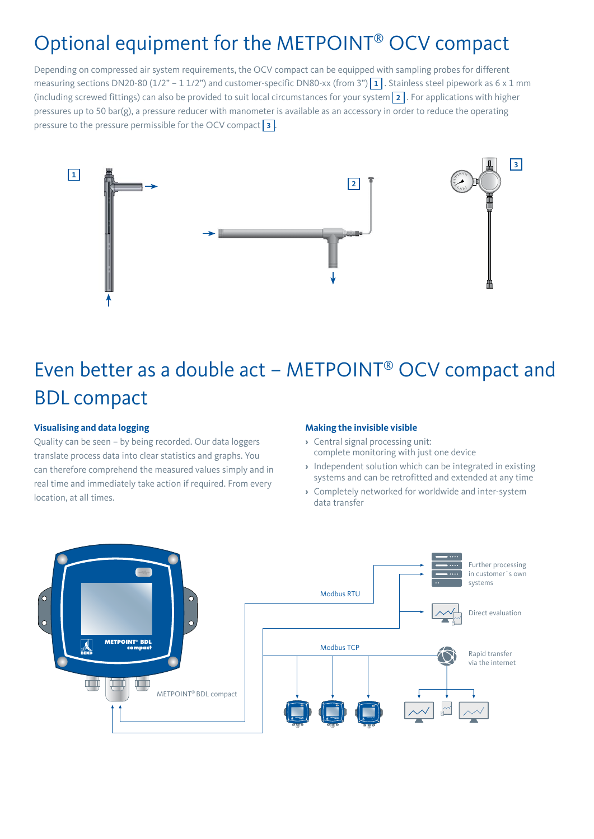### Optional equipment for the METPOINT® OCV compact

Depending on compressed air system requirements, the OCV compact can be equipped with sampling probes for different measuring sections DN20-80 (1/2" – 1 1/2") and customer-specific DN80-xx (from 3")  $\boxed{1}$ . Stainless steel pipework as 6 x 1 mm (including screwed fittings) can also be provided to suit local circumstances for your system **2** . For applications with higher pressures up to 50 bar(g), a pressure reducer with manometer is available as an accessory in order to reduce the operating pressure to the pressure permissible for the OCV compact **3** .



# Even better as a double act – METPOINT® OCV compact and BDL compact

#### **Visualising and data logging**

Quality can be seen – by being recorded. Our data loggers translate process data into clear statistics and graphs. You can therefore comprehend the measured values simply and in real time and immediately take action if required. From every location, at all times.

#### **Making the invisible visible**

- **›** Central signal processing unit: complete monitoring with just one device
- **›** Independent solution which can be integrated in existing systems and can be retrofitted and extended at any time
- **›** Completely networked for worldwide and inter-system data transfer